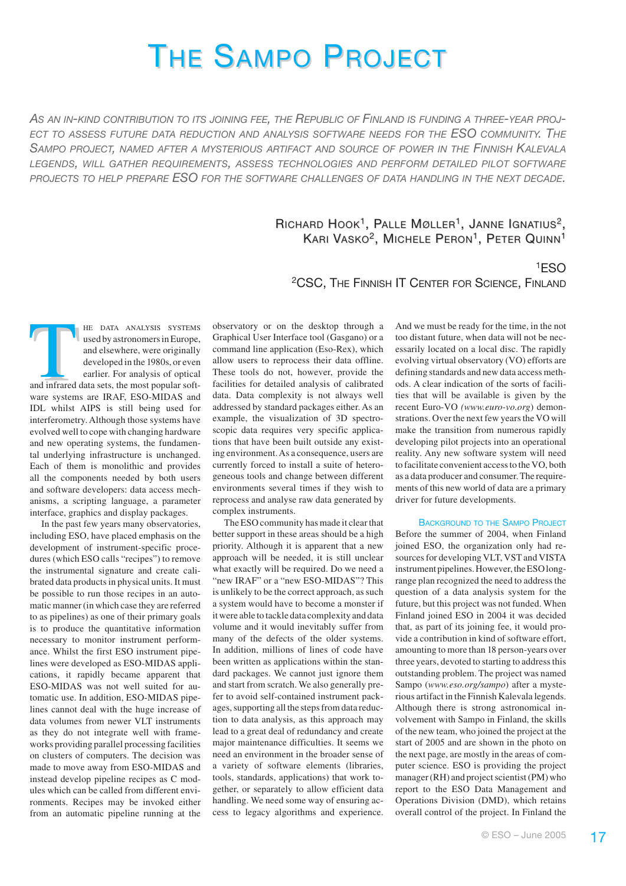# THE SAMPO PROJECT

*AS AN IN-KIND CONTRIBUTION TO ITS JOINING FEE, THE REPUBLIC OF FINLAND IS FUNDING A THREE-YEAR PROJ-ECT TO ASSESS FUTURE DATA REDUCTION AND ANALYSIS SOFTWARE NEEDS FOR THE ESO COMMUNITY. THE* SAMPO PROJECT, NAMED AFTER A MYSTERIOUS ARTIFACT AND SOURCE OF POWER IN THE FINNISH KALEVALA *LEGENDS, WILL GATHER REQUIREMENTS, ASSESS TECHNOLOGIES AND PERFORM DETAILED PILOT SOFTWARE PROJECTS TO HELP PREPARE ESO FOR THE SOFTWARE CHALLENGES OF DATA HANDLING IN THE NEXT DECADE.*

# RICHARD  $H$ OOK<sup>1</sup>, PALLE MØLLER<sup>1</sup>, JANNE IGNATIUS<sup>2</sup>, KARI VASKO<sup>2</sup>, MICHELE PERON<sup>1</sup>, PETER QUINN<sup>1</sup>

2CSC, THE FINNISH IT CENTER FOR SCIENCE, FINLAND

HE DATA ANALYSIS SYSTEMS<br>
used by astronomers in Europe,<br>
and elsewhere, were originally<br>
developed in the 1980s, or even<br>
earlier. For analysis of optical<br>
and infrared data sets, the most popular softused by astronomers in Europe, and elsewhere, were originally developed in the 1980s, or even earlier. For analysis of optical ware systems are IRAF, ESO-MIDAS and IDL whilst AIPS is still being used for interferometry. Although those systems have evolved well to cope with changing hardware and new operating systems, the fundamental underlying infrastructure is unchanged. Each of them is monolithic and provides all the components needed by both users and software developers: data access mechanisms, a scripting language, a parameter interface, graphics and display packages.

In the past few years many observatories, including ESO, have placed emphasis on the development of instrument-specific procedures (which ESO calls "recipes") to remove the instrumental signature and create calibrated data products in physical units. It must be possible to run those recipes in an automatic manner (in which case they are referred to as pipelines) as one of their primary goals is to produce the quantitative information necessary to monitor instrument performance. Whilst the first ESO instrument pipelines were developed as ESO-MIDAS applications, it rapidly became apparent that ESO-MIDAS was not well suited for automatic use. In addition, ESO-MIDAS pipelines cannot deal with the huge increase of data volumes from newer VLT instruments as they do not integrate well with frameworks providing parallel processing facilities on clusters of computers. The decision was made to move away from ESO-MIDAS and instead develop pipeline recipes as C modules which can be called from different environments. Recipes may be invoked either from an automatic pipeline running at the observatory or on the desktop through a Graphical User Interface tool (Gasgano) or a command line application (Eso-Rex), which allow users to reprocess their data offline. These tools do not, however, provide the facilities for detailed analysis of calibrated data. Data complexity is not always well addressed by standard packages either. As an example, the visualization of 3D spectroscopic data requires very specific applications that have been built outside any existing environment. As a consequence, users are currently forced to install a suite of heterogeneous tools and change between different environments several times if they wish to reprocess and analyse raw data generated by complex instruments.

The ESO community has made it clear that better support in these areas should be a high priority. Although it is apparent that a new approach will be needed, it is still unclear what exactly will be required. Do we need a "new IRAF" or a "new ESO-MIDAS"? This is unlikely to be the correct approach, as such a system would have to become a monster if it were able to tackle data complexity and data volume and it would inevitably suffer from many of the defects of the older systems. In addition, millions of lines of code have been written as applications within the standard packages. We cannot just ignore them and start from scratch. We also generally prefer to avoid self-contained instrument packages, supporting all the steps from data reduction to data analysis, as this approach may lead to a great deal of redundancy and create major maintenance difficulties. It seems we need an environment in the broader sense of a variety of software elements (libraries, tools, standards, applications) that work together, or separately to allow efficient data handling. We need some way of ensuring access to legacy algorithms and experience.

And we must be ready for the time, in the not too distant future, when data will not be necessarily located on a local disc. The rapidly evolving virtual observatory (VO) efforts are defining standards and new data access methods. A clear indication of the sorts of facilities that will be available is given by the recent Euro-VO *(www.euro-vo.org*) demonstrations. Over the next few years the VO will make the transition from numerous rapidly developing pilot projects into an operational reality. Any new software system will need to facilitate convenient access to the VO, both as a data producer and consumer. The requirements of this new world of data are a primary driver for future developments.

1ESO

BACKGROUND TO THE SAMPO PROJECT Before the summer of 2004, when Finland joined ESO, the organization only had resources for developing VLT, VST and VISTA instrument pipelines. However, the ESO longrange plan recognized the need to address the question of a data analysis system for the future, but this project was not funded. When Finland joined ESO in 2004 it was decided that, as part of its joining fee, it would provide a contribution in kind of software effort, amounting to more than 18 person-years over three years, devoted to starting to address this outstanding problem. The project was named Sampo (*www.eso.org/sampo*) after a mysterious artifact in the Finnish Kalevala legends. Although there is strong astronomical involvement with Sampo in Finland, the skills of the new team, who joined the project at the start of 2005 and are shown in the photo on the next page, are mostly in the areas of computer science. ESO is providing the project manager (RH) and project scientist (PM) who report to the ESO Data Management and Operations Division (DMD), which retains overall control of the project. In Finland the